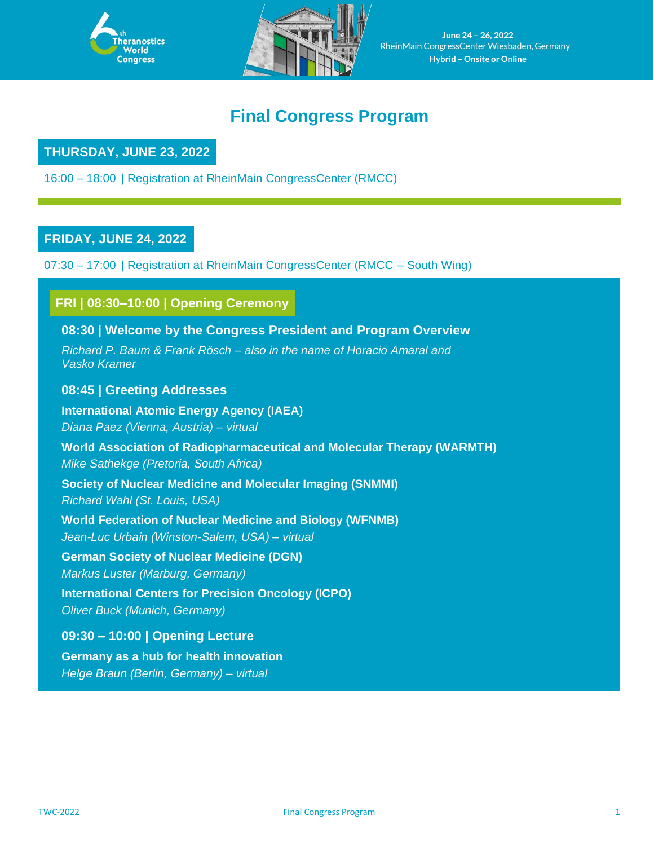



June 24 - 26, 2022 RheinMain CongressCenter Wiesbaden, Germany **Hybrid – Onsite or Online**

# **Final Congress Program**

## **THURSDAY, JUNE 23, 2022**

16:00 – 18:00 | Registration at RheinMain CongressCenter (RMCC)

### **FRIDAY, JUNE 24, 2022**

07:30 – 17:00 | Registration at RheinMain CongressCenter (RMCC – South Wing)

# **FRI | 08:30–10:00 | Opening Ceremony**

#### **08:30 | Welcome by the Congress President and Program Overview**

*Richard P. Baum & Frank Rösch – also in the name of Horacio Amaral and Vasko Kramer*

#### **08:45 | Greeting Addresses**

**International Atomic Energy Agency (IAEA)** *Diana Paez (Vienna, Austria) – virtual*

**World Association of Radiopharmaceutical and Molecular Therapy (WARMTH)** *Mike Sathekge (Pretoria, South Africa)*

**Society of Nuclear Medicine and Molecular Imaging (SNMMI)** *Richard Wahl (St. Louis, USA)*

**World Federation of Nuclear Medicine and Biology (WFNMB)**

*Jean-Luc Urbain (Winston-Salem, USA) – virtual*

**German Society of Nuclear Medicine (DGN)**

*Markus Luster (Marburg, Germany)*

**International Centers for Precision Oncology (ICPO)**

*Oliver Buck (Munich, Germany)*

**09:30 – 10:00 | Opening Lecture Germany as a hub for health innovation**

*Helge Braun (Berlin, Germany) – virtual*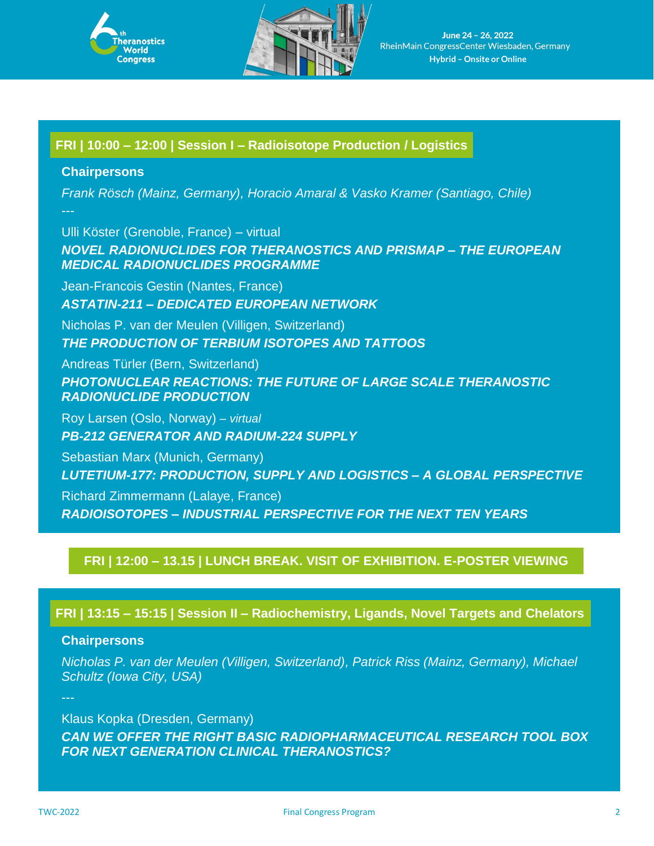



# **FRI | 10:00 – 12:00 | Session I – Radioisotope Production / Logistics**

#### **Chairpersons**

*Frank Rösch (Mainz, Germany), Horacio Amaral & Vasko Kramer (Santiago, Chile)*

Ulli Köster (Grenoble, France) – virtual *NOVEL RADIONUCLIDES FOR THERANOSTICS AND PRISMAP – THE EUROPEAN MEDICAL RADIONUCLIDES PROGRAMME*

Jean-Francois Gestin (Nantes, France) *ASTATIN-211* **–** *DEDICATED EUROPEAN NETWORK*

Nicholas P. van der Meulen (Villigen, Switzerland) *THE PRODUCTION OF TERBIUM ISOTOPES AND TATTOOS*

Andreas Türler (Bern, Switzerland) *PHOTONUCLEAR REACTIONS: THE FUTURE OF LARGE SCALE THERANOSTIC RADIONUCLIDE PRODUCTION*

Roy Larsen (Oslo, Norway) *– virtual PB-212 GENERATOR AND RADIUM-224 SUPPLY* 

Sebastian Marx (Munich, Germany) *LUTETIUM-177: PRODUCTION, SUPPLY AND LOGISTICS – A GLOBAL PERSPECTIVE*

Richard Zimmermann (Lalaye, France) *RADIOISOTOPES – INDUSTRIAL PERSPECTIVE FOR THE NEXT TEN YEARS*

### **FRI | 12:00 – 13.15 | LUNCH BREAK. VISIT OF EXHIBITION. E-POSTER VIEWING**

**FRI | 13:15 – 15:15 | Session II – Radiochemistry, Ligands, Novel Targets and Chelators**

### **Chairpersons**

*Nicholas P. van der Meulen (Villigen, Switzerland), Patrick Riss (Mainz, Germany), Michael Schultz (Iowa City, USA)*

Klaus Kopka (Dresden, Germany) *CAN WE OFFER THE RIGHT BASIC RADIOPHARMACEUTICAL RESEARCH TOOL BOX FOR NEXT GENERATION CLINICAL THERANOSTICS?*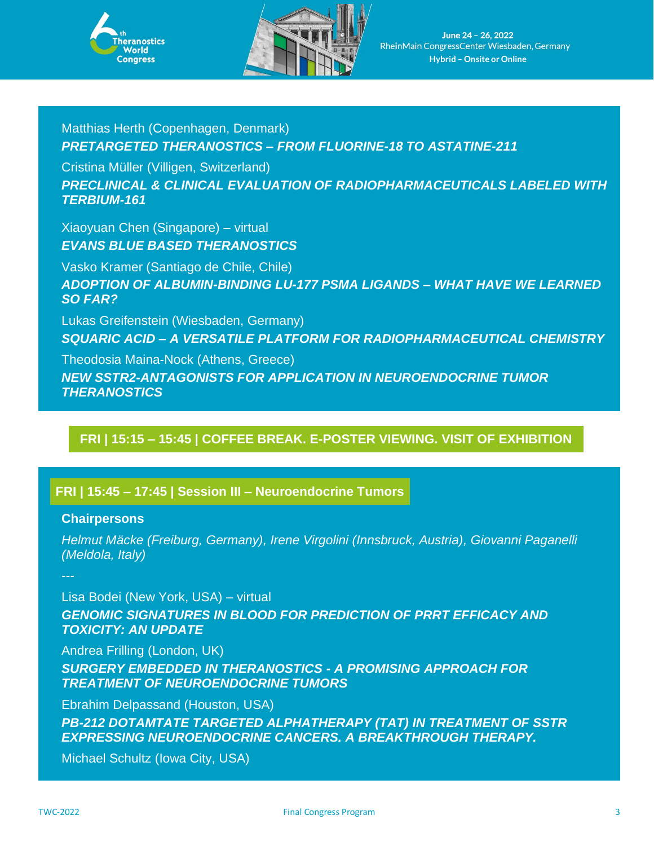



# Matthias Herth (Copenhagen, Denmark) *PRETARGETED THERANOSTICS – FROM FLUORINE-18 TO ASTATINE-211*

Cristina Müller (Villigen, Switzerland) *PRECLINICAL & CLINICAL EVALUATION OF RADIOPHARMACEUTICALS LABELED WITH TERBIUM-161*

Xiaoyuan Chen (Singapore) – virtual *EVANS BLUE BASED THERANOSTICS*

Vasko Kramer (Santiago de Chile, Chile) *ADOPTION OF ALBUMIN-BINDING LU-177 PSMA LIGANDS* **–** *WHAT HAVE WE LEARNED SO FAR?*

Lukas Greifenstein (Wiesbaden, Germany) *SQUARIC ACID – A VERSATILE PLATFORM FOR RADIOPHARMACEUTICAL CHEMISTRY*

Theodosia Maina-Nock (Athens, Greece) *NEW SSTR2-ANTAGONISTS FOR APPLICATION IN NEUROENDOCRINE TUMOR THERANOSTICS*

# **FRI | 15:15 – 15:45 | COFFEE BREAK. E-POSTER VIEWING. VISIT OF EXHIBITION**

### **FRI | 15:45 – 17:45 | Session III – Neuroendocrine Tumors**

#### **Chairpersons**

*Helmut Mäcke (Freiburg, Germany), Irene Virgolini (Innsbruck, Austria), Giovanni Paganelli (Meldola, Italy)*

Lisa Bodei (New York, USA) – virtual

**GENOMIC SIGNATURES IN BLOOD FOR PREDICTION OF PRRT EFFICACY AND** *TOXICITY: AN UPDATE*

Andrea Frilling (London, UK)

*SURGERY EMBEDDED IN THERANOSTICS - A PROMISING APPROACH FOR TREATMENT OF NEUROENDOCRINE TUMORS*

Ebrahim Delpassand (Houston, USA)

*PB-212 DOTAMTATE TARGETED ALPHATHERAPY (TAT) IN TREATMENT OF SSTR EXPRESSING NEUROENDOCRINE CANCERS. A BREAKTHROUGH THERAPY.*

Michael Schultz (Iowa City, USA)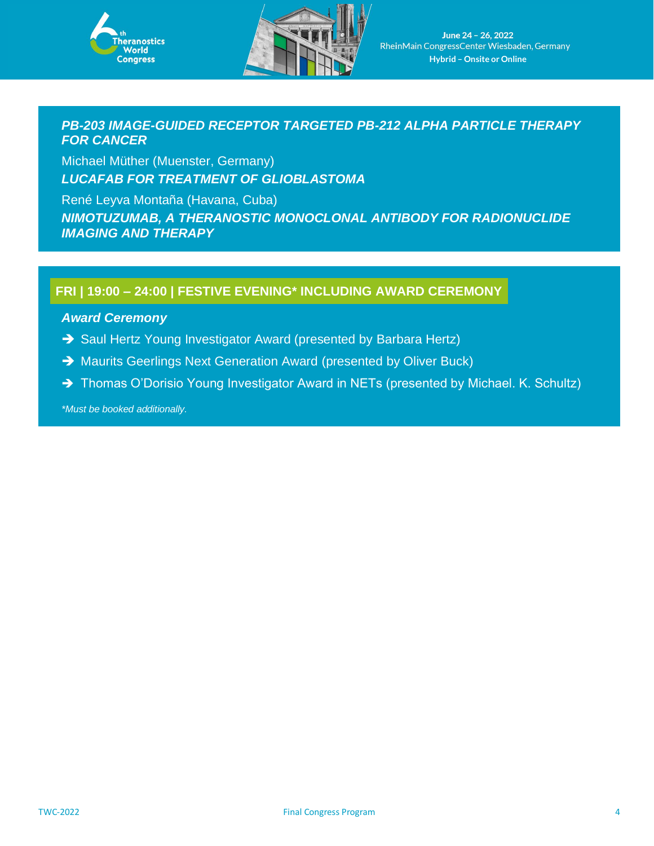



### *PB-203 IMAGE-GUIDED RECEPTOR TARGETED PB-212 ALPHA PARTICLE THERAPY FOR CANCER*

Michael Müther (Muenster, Germany) *LUCAFAB FOR TREATMENT OF GLIOBLASTOMA*

René Leyva Montaña (Havana, Cuba) *NIMOTUZUMAB, A THERANOSTIC MONOCLONAL ANTIBODY FOR RADIONUCLIDE IMAGING AND THERAPY*

## **FRI | 19:00 – 24:00 | FESTIVE EVENING\* INCLUDING AWARD CEREMONY**

#### *Award Ceremony*

- → Saul Hertz Young Investigator Award (presented by Barbara Hertz)
- → Maurits Geerlings Next Generation Award (presented by Oliver Buck)
- → Thomas O'Dorisio Young Investigator Award in NETs (presented by Michael. K. Schultz)

*\*Must be booked additionally.*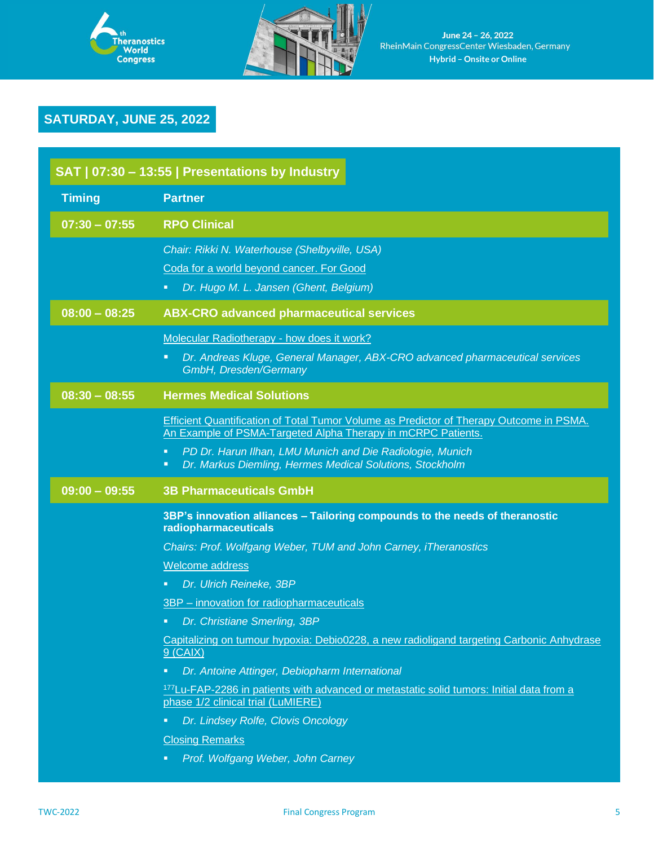



# **SATURDAY, JUNE 25, 2022**

| SAT   07:30 - 13:55   Presentations by Industry |                                                                                                                                                          |
|-------------------------------------------------|----------------------------------------------------------------------------------------------------------------------------------------------------------|
| <b>Timing</b>                                   | <b>Partner</b>                                                                                                                                           |
| $07:30 - 07:55$                                 | <b>RPO Clinical</b>                                                                                                                                      |
|                                                 | Chair: Rikki N. Waterhouse (Shelbyville, USA)<br>Coda for a world beyond cancer. For Good<br>Dr. Hugo M. L. Jansen (Ghent, Belgium)<br>$\blacksquare$    |
| $08:00 - 08:25$                                 | <b>ABX-CRO advanced pharmaceutical services</b>                                                                                                          |
|                                                 | Molecular Radiotherapy - how does it work?<br>Dr. Andreas Kluge, General Manager, ABX-CRO advanced pharmaceutical services<br>π<br>GmbH, Dresden/Germany |
| $08:30 - 08:55$                                 | <b>Hermes Medical Solutions</b>                                                                                                                          |
|                                                 | Efficient Quantification of Total Tumor Volume as Predictor of Therapy Outcome in PSMA.<br>An Example of PSMA-Targeted Alpha Therapy in mCRPC Patients.  |
|                                                 | PD Dr. Harun Ilhan, LMU Munich and Die Radiologie, Munich<br>$\blacksquare$<br>Dr. Markus Diemling, Hermes Medical Solutions, Stockholm<br>π             |
| $09:00 - 09:55$                                 | <b>3B Pharmaceuticals GmbH</b>                                                                                                                           |
|                                                 |                                                                                                                                                          |
|                                                 | 3BP's innovation alliances - Tailoring compounds to the needs of theranostic<br>radiopharmaceuticals                                                     |
|                                                 | Chairs: Prof. Wolfgang Weber, TUM and John Carney, iTheranostics                                                                                         |
|                                                 | Welcome address                                                                                                                                          |
|                                                 | Dr. Ulrich Reineke, 3BP<br>$\blacksquare$                                                                                                                |
|                                                 | 3BP - innovation for radiopharmaceuticals                                                                                                                |
|                                                 | Dr. Christiane Smerling, 3BP<br>π,                                                                                                                       |
|                                                 | Capitalizing on tumour hypoxia: Debio0228, a new radioligand targeting Carbonic Anhydrase<br>$9$ (CAIX)                                                  |
|                                                 | Dr. Antoine Attinger, Debiopharm International<br>Ξ                                                                                                      |
|                                                 | <sup>177</sup> Lu-FAP-2286 in patients with advanced or metastatic solid tumors: Initial data from a<br>phase 1/2 clinical trial (LuMIERE)               |
|                                                 | Dr. Lindsey Rolfe, Clovis Oncology<br>π                                                                                                                  |
|                                                 | <b>Closing Remarks</b>                                                                                                                                   |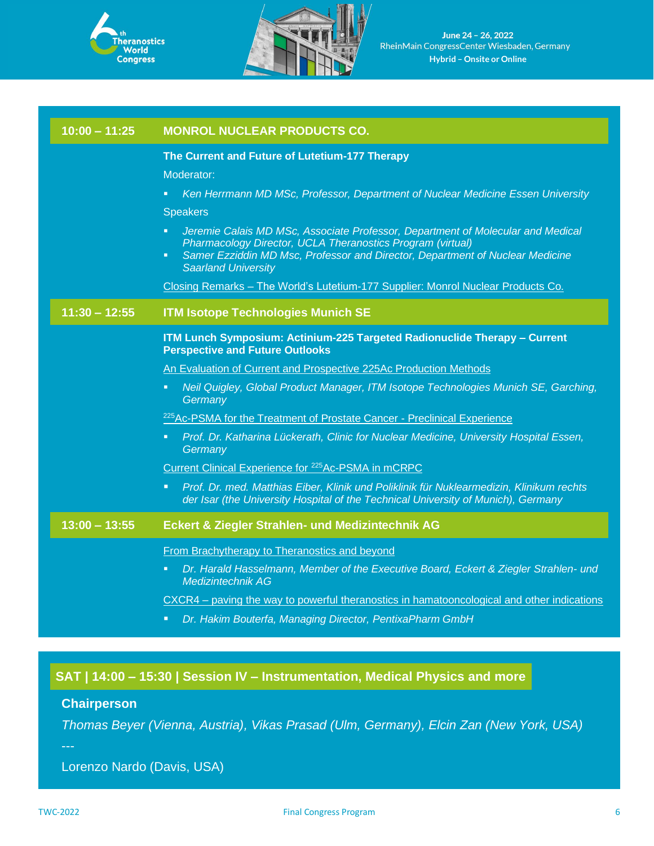



June 24 - 26, 2022 RheinMain CongressCenter Wiesbaden, Germany **Hybrid – Onsite or Online**

| $10:00 - 11:25$ | <b>MONROL NUCLEAR PRODUCTS CO.</b>                                                                                                                                                                                                                                                   |
|-----------------|--------------------------------------------------------------------------------------------------------------------------------------------------------------------------------------------------------------------------------------------------------------------------------------|
|                 | The Current and Future of Lutetium-177 Therapy                                                                                                                                                                                                                                       |
|                 | Moderator:                                                                                                                                                                                                                                                                           |
|                 | Ken Herrmann MD MSc, Professor, Department of Nuclear Medicine Essen University<br>Ξ                                                                                                                                                                                                 |
|                 | <b>Speakers</b>                                                                                                                                                                                                                                                                      |
|                 | Jeremie Calais MD MSc, Associate Professor, Department of Molecular and Medical<br>E.<br>Pharmacology Director, UCLA Theranostics Program (virtual)<br>Samer Ezziddin MD Msc, Professor and Director, Department of Nuclear Medicine<br>$\blacksquare$<br><b>Saarland University</b> |
|                 | Closing Remarks - The World's Lutetium-177 Supplier: Monrol Nuclear Products Co.                                                                                                                                                                                                     |
| $11:30 - 12:55$ | <b>ITM Isotope Technologies Munich SE</b>                                                                                                                                                                                                                                            |
|                 | ITM Lunch Symposium: Actinium-225 Targeted Radionuclide Therapy - Current<br><b>Perspective and Future Outlooks</b>                                                                                                                                                                  |
|                 | An Evaluation of Current and Prospective 225Ac Production Methods                                                                                                                                                                                                                    |
|                 | Neil Quigley, Global Product Manager, ITM Isotope Technologies Munich SE, Garching,<br>o,<br>Germany                                                                                                                                                                                 |
|                 | <sup>225</sup> Ac-PSMA for the Treatment of Prostate Cancer - Preclinical Experience                                                                                                                                                                                                 |
|                 | Prof. Dr. Katharina Lückerath, Clinic for Nuclear Medicine, University Hospital Essen,<br>٠<br>Germany                                                                                                                                                                               |
|                 | Current Clinical Experience for <sup>225</sup> Ac-PSMA in mCRPC                                                                                                                                                                                                                      |
|                 | Prof. Dr. med. Matthias Eiber, Klinik und Poliklinik für Nuklearmedizin, Klinikum rechts<br>$\blacksquare$<br>der Isar (the University Hospital of the Technical University of Munich), Germany                                                                                      |
| $13:00 - 13:55$ | <b>Eckert &amp; Ziegler Strahlen- und Medizintechnik AG</b>                                                                                                                                                                                                                          |
|                 | From Brachytherapy to Theranostics and beyond                                                                                                                                                                                                                                        |
|                 | Dr. Harald Hasselmann, Member of the Executive Board, Eckert & Ziegler Strahlen- und<br>π<br>Medizintechnik AG                                                                                                                                                                       |
|                 | CXCR4 – paving the way to powerful theranostics in hamatooncological and other indications                                                                                                                                                                                           |
|                 | Dr. Hakim Bouterfa, Managing Director, PentixaPharm GmbH<br>о                                                                                                                                                                                                                        |

# **SAT | 14:00 – 15:30 | Session IV – Instrumentation, Medical Physics and more**

# **Chairperson**

*Thomas Beyer (Vienna, Austria), Vikas Prasad (Ulm, Germany), Elcin Zan (New York, USA)*

---

Lorenzo Nardo (Davis, USA)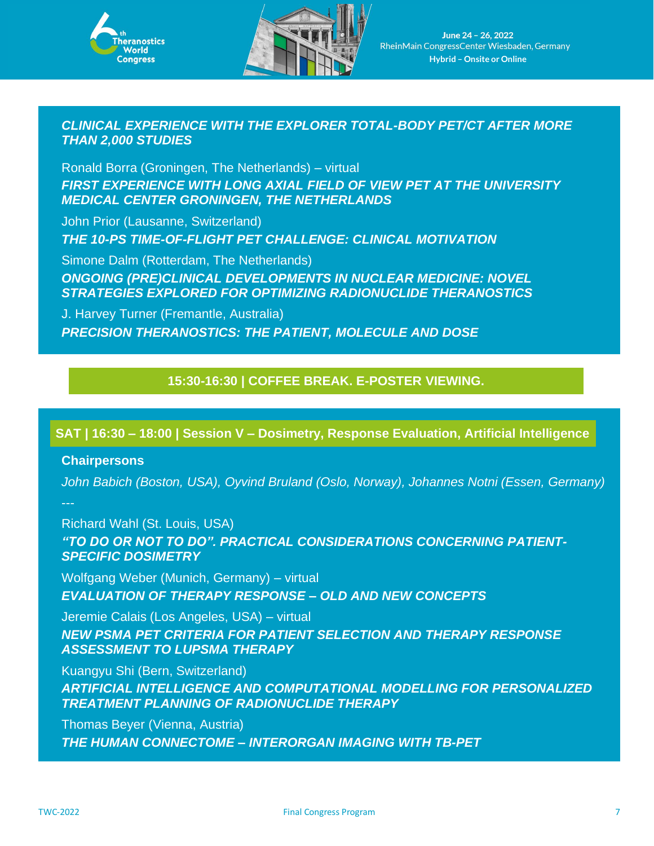



### *CLINICAL EXPERIENCE WITH THE EXPLORER TOTAL-BODY PET/CT AFTER MORE THAN 2,000 STUDIES*

Ronald Borra (Groningen, The Netherlands) – virtual *FIRST EXPERIENCE WITH LONG AXIAL FIELD OF VIEW PET AT THE UNIVERSITY MEDICAL CENTER GRONINGEN, THE NETHERLANDS*

John Prior (Lausanne, Switzerland) *THE 10-PS TIME-OF-FLIGHT PET CHALLENGE: CLINICAL MOTIVATION*

Simone Dalm (Rotterdam, The Netherlands) *ONGOING (PRE)CLINICAL DEVELOPMENTS IN NUCLEAR MEDICINE: NOVEL STRATEGIES EXPLORED FOR OPTIMIZING RADIONUCLIDE THERANOSTICS*

J. Harvey Turner (Fremantle, Australia) *PRECISION THERANOSTICS: THE PATIENT, MOLECULE AND DOSE*

## **15:30-16:30 | COFFEE BREAK. E-POSTER VIEWING.**

### **SAT | 16:30 – 18:00 | Session V – Dosimetry, Response Evaluation, Artificial Intelligence**

#### **Chairpersons**

*John Babich (Boston, USA), Oyvind Bruland (Oslo, Norway), Johannes Notni (Essen, Germany)*

Richard Wahl (St. Louis, USA) *"TO DO OR NOT TO DO". PRACTICAL CONSIDERATIONS CONCERNING PATIENT-SPECIFIC DOSIMETRY*

Wolfgang Weber (Munich, Germany) – virtual *EVALUATION OF THERAPY RESPONSE – OLD AND NEW CONCEPTS*

Jeremie Calais (Los Angeles, USA) – virtual *NEW PSMA PET CRITERIA FOR PATIENT SELECTION AND THERAPY RESPONSE ASSESSMENT TO LUPSMA THERAPY*

Kuangyu Shi (Bern, Switzerland)

*ARTIFICIAL INTELLIGENCE AND COMPUTATIONAL MODELLING FOR PERSONALIZED TREATMENT PLANNING OF RADIONUCLIDE THERAPY*

Thomas Beyer (Vienna, Austria) *THE HUMAN CONNECTOME* **–** *INTERORGAN IMAGING WITH TB-PET*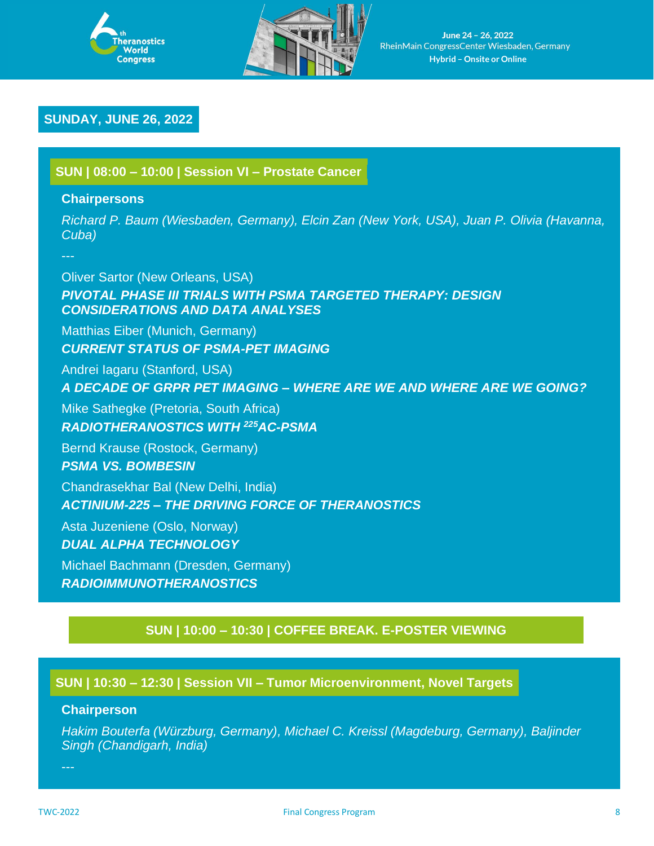



### **SUNDAY, JUNE 26, 2022**

**SUN | 08:00 – 10:00 | Session VI – Prostate Cancer**

#### **Chairpersons**

*Richard P. Baum (Wiesbaden, Germany), Elcin Zan (New York, USA), Juan P. Olivia (Havanna, Cuba)*

---

Oliver Sartor (New Orleans, USA) **PIVOTAL PHASE III TRIALS WITH PSMA TARGETED THERAPY: DESIGN** *CONSIDERATIONS AND DATA ANALYSES*

Matthias Eiber (Munich, Germany) *CURRENT STATUS OF PSMA-PET IMAGING*

Andrei Iagaru (Stanford, USA)

*A DECADE OF GRPR PET IMAGING* **–** *WHERE ARE WE AND WHERE ARE WE GOING?*

Mike Sathegke (Pretoria, South Africa) *RADIOTHERANOSTICS WITH <sup>225</sup>AC-PSMA*

Bernd Krause (Rostock, Germany) *PSMA VS. BOMBESIN*

Chandrasekhar Bal (New Delhi, India) *ACTINIUM-225* **–** *THE DRIVING FORCE OF THERANOSTICS*

Asta Juzeniene (Oslo, Norway) *DUAL ALPHA TECHNOLOGY*

Michael Bachmann (Dresden, Germany) *RADIOIMMUNOTHERANOSTICS*

# **SUN | 10:00 – 10:30 | COFFEE BREAK. E-POSTER VIEWING**

### **SUN | 10:30 – 12:30 | Session VII – Tumor Microenvironment, Novel Targets**

#### **Chairperson**

*Hakim Bouterfa (Würzburg, Germany), Michael C. Kreissl (Magdeburg, Germany), Baljinder Singh (Chandigarh, India)*

---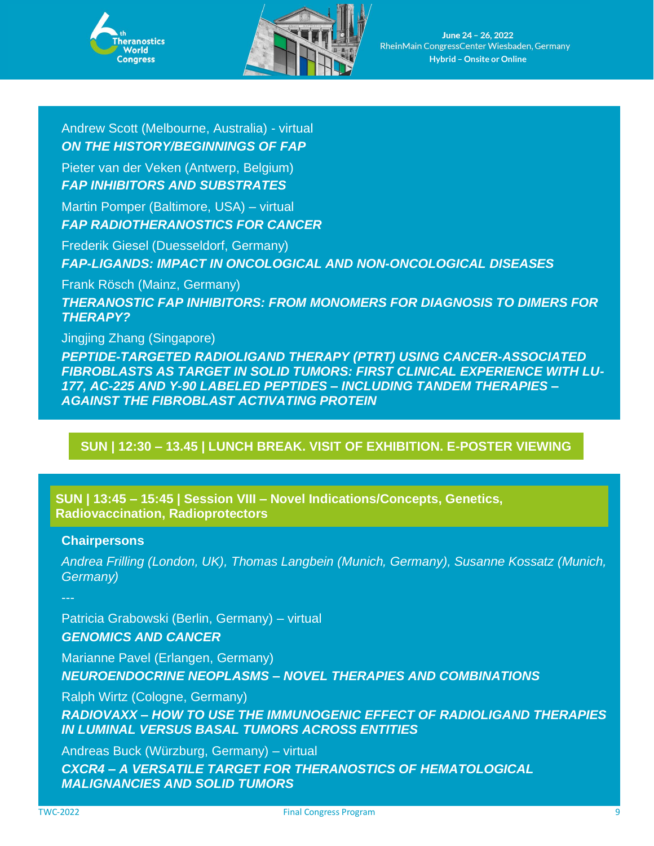



June 24 - 26, 2022 RheinMain CongressCenter Wiesbaden, Germany **Hybrid – Onsite or Online**

Andrew Scott (Melbourne, Australia) - virtual *ON THE HISTORY/BEGINNINGS OF FAP*

Pieter van der Veken (Antwerp, Belgium) *FAP INHIBITORS AND SUBSTRATES*

Martin Pomper (Baltimore, USA) – virtual *FAP RADIOTHERANOSTICS FOR CANCER*

Frederik Giesel (Duesseldorf, Germany) *FAP-LIGANDS: IMPACT IN ONCOLOGICAL AND NON-ONCOLOGICAL DISEASES*

Frank Rösch (Mainz, Germany)

*THERANOSTIC FAP INHIBITORS: FROM MONOMERS FOR DIAGNOSIS TO DIMERS FOR THERAPY?*

Jingjing Zhang (Singapore)

*PEPTIDE-TARGETED RADIOLIGAND THERAPY (PTRT) USING CANCER-ASSOCIATED FIBROBLASTS AS TARGET IN SOLID TUMORS: FIRST CLINICAL EXPERIENCE WITH LU-177, AC-225 AND Y-90 LABELED PEPTIDES* **–** *INCLUDING TANDEM THERAPIES* **–** *AGAINST THE FIBROBLAST ACTIVATING PROTEIN*

### **SUN | 12:30 – 13.45 | LUNCH BREAK. VISIT OF EXHIBITION. E-POSTER VIEWING**

**SUN | 13:45 – 15:45 | Session VIII – Novel Indications/Concepts, Genetics, Radiovaccination, Radioprotectors**

#### **Chairpersons**

*Andrea Frilling (London, UK), Thomas Langbein (Munich, Germany), Susanne Kossatz (Munich, Germany)*

Patricia Grabowski (Berlin, Germany) – virtual *GENOMICS AND CANCER*

Marianne Pavel (Erlangen, Germany) *NEUROENDOCRINE NEOPLASMS* **–** *NOVEL THERAPIES AND COMBINATIONS*

Ralph Wirtz (Cologne, Germany) *RADIOVAXX – HOW TO USE THE IMMUNOGENIC EFFECT OF RADIOLIGAND THERAPIES IN LUMINAL VERSUS BASAL TUMORS ACROSS ENTITIES*

Andreas Buck (Würzburg, Germany) – virtual *CXCR4 – A VERSATILE TARGET FOR THERANOSTICS OF HEMATOLOGICAL MALIGNANCIES AND SOLID TUMORS*